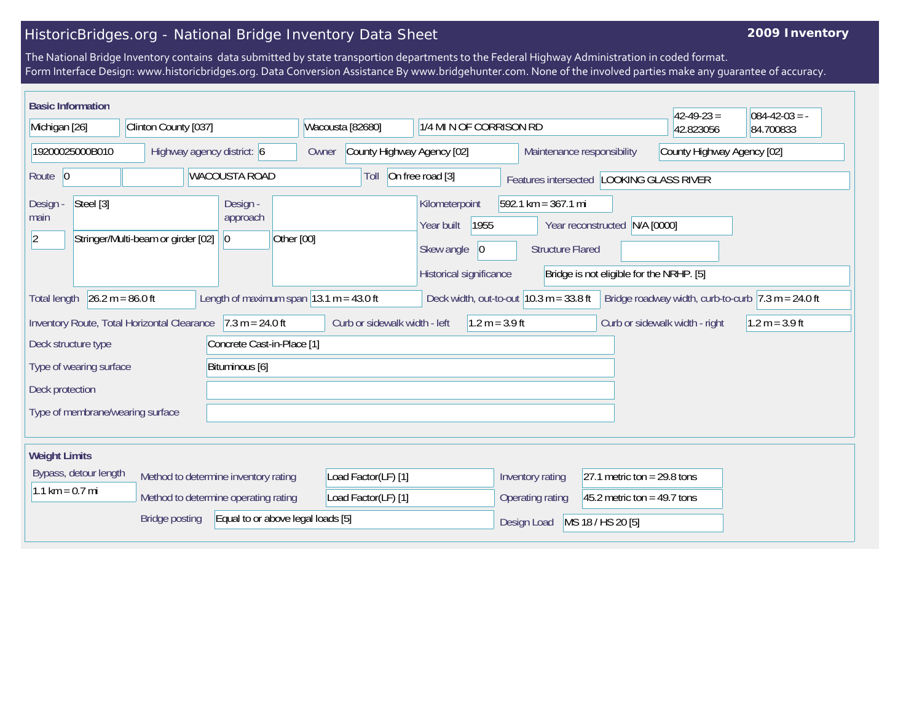## HistoricBridges.org - National Bridge Inventory Data Sheet

## **2009 Inventory**

The National Bridge Inventory contains data submitted by state transportion departments to the Federal Highway Administration in coded format. Form Interface Design: www.historicbridges.org. Data Conversion Assistance By www.bridgehunter.com. None of the involved parties make any guarantee of accuracy.

| <b>Basic Information</b>                                                  |                                             |                                                             |                               |                                                                                      |                                                                  |                                                                           | $42 - 49 - 23 =$                                                       | $084 - 42 - 03 = -$ |
|---------------------------------------------------------------------------|---------------------------------------------|-------------------------------------------------------------|-------------------------------|--------------------------------------------------------------------------------------|------------------------------------------------------------------|---------------------------------------------------------------------------|------------------------------------------------------------------------|---------------------|
| Michigan [26]                                                             | Clinton County [037]                        |                                                             | Wacousta [82680]              | 1/4 MI N OF CORRISON RD                                                              |                                                                  |                                                                           | 42.823056                                                              | 84.700833           |
| 19200025000B010<br>Highway agency district: 6                             |                                             |                                                             | Owner                         | County Highway Agency [02]                                                           |                                                                  | County Highway Agency [02]<br>Maintenance responsibility                  |                                                                        |                     |
| Route 0                                                                   |                                             | <b>WACOUSTA ROAD</b>                                        | Toll                          | On free road [3]<br>Features intersected   LOOKING GLASS RIVER                       |                                                                  |                                                                           |                                                                        |                     |
| Steel [3]<br>Design -<br>main<br> 2                                       | Stringer/Multi-beam or girder [02]          | Design -<br>approach<br> 0 <br>Other [00]                   |                               | Kilometerpoint<br>1955<br>Year built<br> 0 <br>Skew angle<br>Historical significance | $592.1 \text{ km} = 367.1 \text{ mi}$<br><b>Structure Flared</b> | Year reconstructed N/A [0000]<br>Bridge is not eligible for the NRHP. [5] |                                                                        |                     |
| $26.2 m = 86.0 ft$<br><b>Total length</b>                                 |                                             | Length of maximum span $ 13.1 \text{ m} = 43.0 \text{ ft} $ |                               | Deck width, out-to-out $10.3$ m = 33.8 ft                                            |                                                                  |                                                                           | Bridge roadway width, curb-to-curb $ 7.3 \text{ m} = 24.0 \text{ ft} $ |                     |
| Deck structure type                                                       | Inventory Route, Total Horizontal Clearance | $7.3 m = 24.0 ft$<br>Concrete Cast-in-Place [1]             | Curb or sidewalk width - left | $1.2 m = 3.9 ft$                                                                     |                                                                  |                                                                           | Curb or sidewalk width - right                                         | $1.2 m = 3.9 ft$    |
| Type of wearing surface<br>Bituminous [6]                                 |                                             |                                                             |                               |                                                                                      |                                                                  |                                                                           |                                                                        |                     |
| Deck protection                                                           |                                             |                                                             |                               |                                                                                      |                                                                  |                                                                           |                                                                        |                     |
| Type of membrane/wearing surface                                          |                                             |                                                             |                               |                                                                                      |                                                                  |                                                                           |                                                                        |                     |
| <b>Weight Limits</b>                                                      |                                             |                                                             |                               |                                                                                      |                                                                  |                                                                           |                                                                        |                     |
| Bypass, detour length                                                     | Method to determine inventory rating        |                                                             | Load Factor(LF) [1]           |                                                                                      | Inventory rating                                                 | 27.1 metric ton = $29.8$ tons                                             |                                                                        |                     |
| $1.1 \text{ km} = 0.7 \text{ mi}$<br>Method to determine operating rating |                                             | Load Factor(LF) [1]                                         |                               | Operating rating                                                                     | 45.2 metric ton = $49.7$ tons                                    |                                                                           |                                                                        |                     |
| <b>Bridge posting</b><br>Equal to or above legal loads [5]                |                                             |                                                             |                               |                                                                                      | Design Load                                                      | MS 18 / HS 20 [5]                                                         |                                                                        |                     |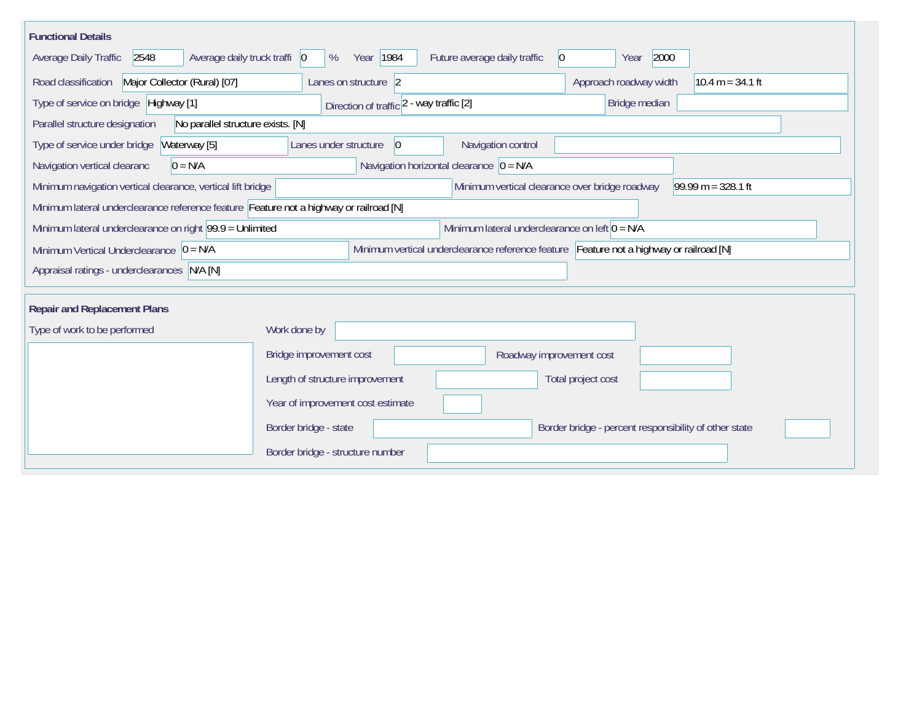| <b>Functional Details</b>                                                                                                              |                                             |                                                  |                                                       |                    |  |  |
|----------------------------------------------------------------------------------------------------------------------------------------|---------------------------------------------|--------------------------------------------------|-------------------------------------------------------|--------------------|--|--|
| Average daily truck traffi 0<br>Average Daily Traffic<br>2548                                                                          | Year   1984<br>%                            | Future average daily traffic<br>$ 0\rangle$      | 2000<br>Year                                          |                    |  |  |
| Road classification<br>Major Collector (Rural) [07]                                                                                    | Lanes on structure 2                        |                                                  | Approach roadway width                                | $10.4 m = 34.1 ft$ |  |  |
| Type of service on bridge Highway [1]                                                                                                  | Direction of traffic 2 - way traffic [2]    |                                                  | Bridge median                                         |                    |  |  |
| Parallel structure designation<br>No parallel structure exists. [N]                                                                    |                                             |                                                  |                                                       |                    |  |  |
| Type of service under bridge<br>Waterway [5]                                                                                           | Lanes under structure<br>$ 0\rangle$        | Navigation control                               |                                                       |                    |  |  |
| Navigation vertical clearanc<br>$0 = N/A$                                                                                              | Navigation horizontal clearance $ 0 = N/A $ |                                                  |                                                       |                    |  |  |
| Minimum navigation vertical clearance, vertical lift bridge<br>Minimum vertical clearance over bridge roadway<br>$99.99 m = 328.1 ft$  |                                             |                                                  |                                                       |                    |  |  |
| Minimum lateral underclearance reference feature Feature not a highway or railroad [N]                                                 |                                             |                                                  |                                                       |                    |  |  |
| Minimum lateral underclearance on right 99.9 = Unlimited                                                                               |                                             | Minimum lateral underclearance on left $0 = N/A$ |                                                       |                    |  |  |
| Minimum vertical underclearance reference feature Feature not a highway or railroad [N]<br>Minimum Vertical Underclearance $ 0 = N/A $ |                                             |                                                  |                                                       |                    |  |  |
| Appraisal ratings - underclearances N/A [N]                                                                                            |                                             |                                                  |                                                       |                    |  |  |
|                                                                                                                                        |                                             |                                                  |                                                       |                    |  |  |
| <b>Repair and Replacement Plans</b>                                                                                                    |                                             |                                                  |                                                       |                    |  |  |
| Type of work to be performed                                                                                                           | Work done by                                |                                                  |                                                       |                    |  |  |
|                                                                                                                                        | Bridge improvement cost                     | Roadway improvement cost                         |                                                       |                    |  |  |
|                                                                                                                                        | Length of structure improvement             |                                                  | Total project cost                                    |                    |  |  |
|                                                                                                                                        | Year of improvement cost estimate           |                                                  |                                                       |                    |  |  |
|                                                                                                                                        | Border bridge - state                       |                                                  | Border bridge - percent responsibility of other state |                    |  |  |
|                                                                                                                                        | Border bridge - structure number            |                                                  |                                                       |                    |  |  |